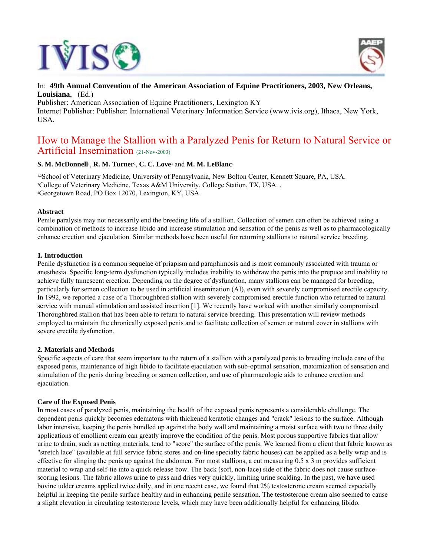



## In: **49th Annual Convention of the American Association of Equine Practitioners, 2003, New Orleans, Louisiana**, (Ed.)

Publisher: American Association of Equine Practitioners, Lexington KY Internet Publisher: Publisher: International Veterinary Information Service (www.ivis.org), Ithaca, New York, USA.

# How to Manage the Stallion with a Paralyzed Penis for Return to Natural Service or Artificial Insemination (21-Nov-2003)

## **S. M. McDonnell**1, **R. M. Turner**2, **C. C. Love**3 and **M. M. LeBlanc**<sup>4</sup>

1,2School of Veterinary Medicine, University of Pennsylvania, New Bolton Center, Kennett Square, PA, USA. <sup>3</sup>College of Veterinary Medicine, Texas A&M University, College Station, TX, USA. . 4Georgetown Road, PO Box 12070, Lexington, KY, USA.

### **Abstract**

Penile paralysis may not necessarily end the breeding life of a stallion. Collection of semen can often be achieved using a combination of methods to increase libido and increase stimulation and sensation of the penis as well as to pharmacologically enhance erection and ejaculation. Similar methods have been useful for returning stallions to natural service breeding.

### **1. Introduction**

Penile dysfunction is a common sequelae of priapism and paraphimosis and is most commonly associated with trauma or anesthesia. Specific long-term dysfunction typically includes inability to withdraw the penis into the prepuce and inability to achieve fully tumescent erection. Depending on the degree of dysfunction, many stallions can be managed for breeding, particularly for semen collection to be used in artificial insemination (AI), even with severely compromised erectile capacity. In 1992, we reported a case of a Thoroughbred stallion with severely compromised erectile function who returned to natural service with manual stimulation and assisted insertion [1]. We recently have worked with another similarly compromised Thoroughbred stallion that has been able to return to natural service breeding. This presentation will review methods employed to maintain the chronically exposed penis and to facilitate collection of semen or natural cover in stallions with severe erectile dysfunction.

#### **2. Materials and Methods**

Specific aspects of care that seem important to the return of a stallion with a paralyzed penis to breeding include care of the exposed penis, maintenance of high libido to facilitate ejaculation with sub-optimal sensation, maximization of sensation and stimulation of the penis during breeding or semen collection, and use of pharmacologic aids to enhance erection and ejaculation.

## **Care of the Exposed Penis**

In most cases of paralyzed penis, maintaining the health of the exposed penis represents a considerable challenge. The dependent penis quickly becomes edematous with thickened keratotic changes and "crack" lesions to the surface. Although labor intensive, keeping the penis bundled up against the body wall and maintaining a moist surface with two to three daily applications of emollient cream can greatly improve the condition of the penis. Most porous supportive fabrics that allow urine to drain, such as netting materials, tend to "score" the surface of the penis. We learned from a client that fabric known as "stretch lace" (available at full service fabric stores and on-line specialty fabric houses) can be applied as a belly wrap and is effective for slinging the penis up against the abdomen. For most stallions, a cut measuring  $0.5 \times 3$  m provides sufficient material to wrap and self-tie into a quick-release bow. The back (soft, non-lace) side of the fabric does not cause surfacescoring lesions. The fabric allows urine to pass and dries very quickly, limiting urine scalding. In the past, we have used bovine udder creams applied twice daily, and in one recent case, we found that 2% testosterone cream seemed especially helpful in keeping the penile surface healthy and in enhancing penile sensation. The testosterone cream also seemed to cause a slight elevation in circulating testosterone levels, which may have been additionally helpful for enhancing libido.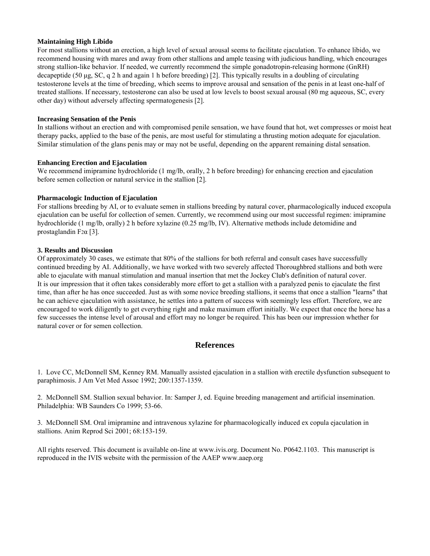### **Maintaining High Libido**

For most stallions without an erection, a high level of sexual arousal seems to facilitate ejaculation. To enhance libido, we recommend housing with mares and away from other stallions and ample teasing with judicious handling, which encourages strong stallion-like behavior. If needed, we currently recommend the simple gonadotropin-releasing hormone (GnRH) decapeptide (50 µg, SC, q 2 h and again 1 h before breeding) [2]. This typically results in a doubling of circulating testosterone levels at the time of breeding, which seems to improve arousal and sensation of the penis in at least one-half of treated stallions. If necessary, testosterone can also be used at low levels to boost sexual arousal (80 mg aqueous, SC, every other day) without adversely affecting spermatogenesis [2].

#### **Increasing Sensation of the Penis**

In stallions without an erection and with compromised penile sensation, we have found that hot, wet compresses or moist heat therapy packs, applied to the base of the penis, are most useful for stimulating a thrusting motion adequate for ejaculation. Similar stimulation of the glans penis may or may not be useful, depending on the apparent remaining distal sensation.

### **Enhancing Erection and Ejaculation**

We recommend imipramine hydrochloride (1 mg/lb, orally, 2 h before breeding) for enhancing erection and ejaculation before semen collection or natural service in the stallion [2].

### **Pharmacologic Induction of Ejaculation**

For stallions breeding by AI, or to evaluate semen in stallions breeding by natural cover, pharmacologically induced excopula ejaculation can be useful for collection of semen. Currently, we recommend using our most successful regimen: imipramine hydrochloride (1 mg/lb, orally) 2 h before xylazine (0.25 mg/lb, IV). Alternative methods include detomidine and prostaglandin F2α [3].

### **3. Results and Discussion**

Of approximately 30 cases, we estimate that 80% of the stallions for both referral and consult cases have successfully continued breeding by AI. Additionally, we have worked with two severely affected Thoroughbred stallions and both were able to ejaculate with manual stimulation and manual insertion that met the Jockey Club's definition of natural cover. It is our impression that it often takes considerably more effort to get a stallion with a paralyzed penis to ejaculate the first time, than after he has once succeeded. Just as with some novice breeding stallions, it seems that once a stallion "learns" that he can achieve ejaculation with assistance, he settles into a pattern of success with seemingly less effort. Therefore, we are encouraged to work diligently to get everything right and make maximum effort initially. We expect that once the horse has a few successes the intense level of arousal and effort may no longer be required. This has been our impression whether for natural cover or for semen collection.

# **References**

1. Love CC, McDonnell SM, Kenney RM. Manually assisted ejaculation in a stallion with erectile dysfunction subsequent to paraphimosis. J Am Vet Med Assoc 1992; 200:1357-1359.

2. McDonnell SM. Stallion sexual behavior. In: Samper J, ed. Equine breeding management and artificial insemination. Philadelphia: WB Saunders Co 1999; 53-66.

3. McDonnell SM. Oral imipramine and intravenous xylazine for pharmacologically induced ex copula ejaculation in stallions. Anim Reprod Sci 2001; 68:153-159.

All rights reserved. This document is available on-line at www.ivis.org. Document No. P0642.1103. This manuscript is reproduced in the IVIS website with the permission of the AAEP www.aaep.org